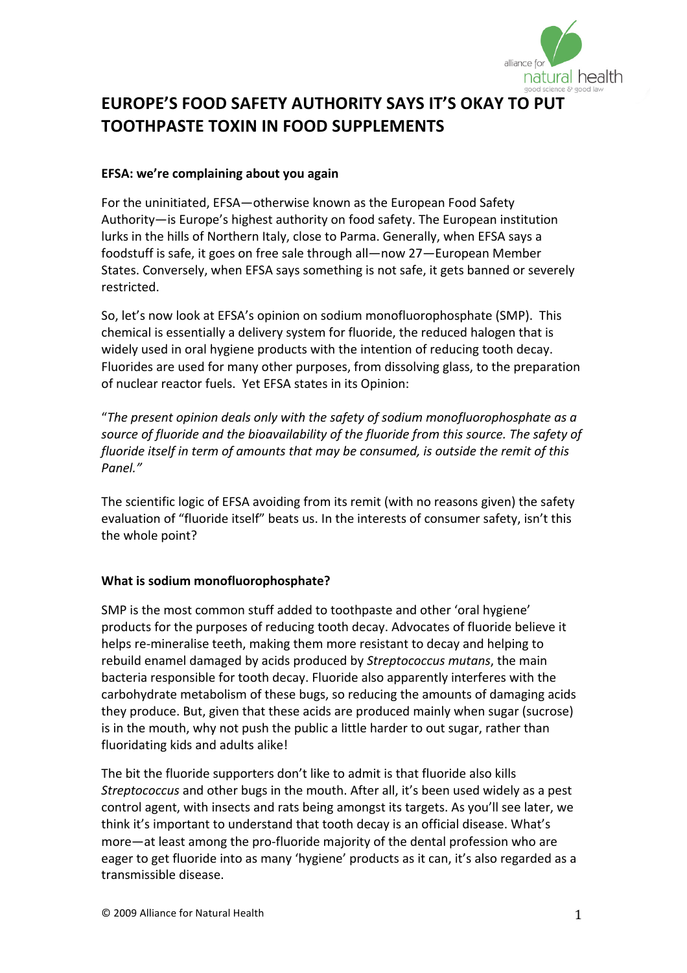

# **EUROPE'S
FOOD
SAFETY
AUTHORITY SAYS
IT'S
OKAY
TO
PUT TOOTHPASTE
TOXIN IN
FOOD
SUPPLEMENTS**

#### **EFSA:
we're
complaining
about
you
again**

For
the
uninitiated,
EFSA—otherwise
known
as
the
European
Food
Safety Authority—is
Europe's
highest
authority
on
food
safety.
The
European
institution lurks in the hills of Northern Italy, close to Parma. Generally, when EFSA says a foodstuff
is
safe,
it
goes
on
free
sale
through
all—now
27—European
Member States. Conversely, when EFSA says something is not safe, it gets banned or severely restricted.

So,
let's
now
look
at
EFSA's
opinion
on
sodium
monofluorophosphate
(SMP).

This chemical
is
essentially
a
delivery
system
for
fluoride,
the
reduced
halogen
that
is widely used in oral hygiene products with the intention of reducing tooth decay. Fluorides
are
used
for
many
other
purposes,
from
dissolving
glass,
to
the
preparation of
nuclear
reactor
fuels.

Yet
EFSA
states
in
its
Opinion:

"*The
present
opinion
deals
only
with
the
safety
of
sodium
monofluorophosphate
as
a* source of fluoride and the bioavailability of the fluoride from this source. The safety of fluoride itself in term of amounts that may be consumed, is outside the remit of this *Panel."*

The scientific logic of EFSA avoiding from its remit (with no reasons given) the safety evaluation of "fluoride itself" beats us. In the interests of consumer safety, isn't this the
whole
point?

### **What
is
sodium
monofluorophosphate?**

SMP
is
the
most
common
stuff
added
to
toothpaste
and
other
'oral
hygiene' products
for
the
purposes
of
reducing
tooth
decay.
Advocates
of
fluoride
believe
it helps re-mineralise teeth, making them more resistant to decay and helping to rebuild
enamel
damaged
by
acids
produced
by *Streptococcus
mutans*,
the
main bacteria responsible for tooth decay. Fluoride also apparently interferes with the carbohydrate
metabolism
of
these
bugs,
so
reducing
the
amounts
of
damaging
acids they
produce.
But,
given
that
these
acids
are
produced
mainly
when
sugar
(sucrose) is in the mouth, why not push the public a little harder to out sugar, rather than fluoridating kids and adults alike!

The bit the fluoride supporters don't like to admit is that fluoride also kills Streptococcus and other bugs in the mouth. After all, it's been used widely as a pest control agent, with insects and rats being amongst its targets. As you'll see later, we think
it's
important
to
understand
that
tooth
decay
is
an
official
disease.
What's more—at least among the pro-fluoride majority of the dental profession who are eager to get fluoride into as many 'hygiene' products as it can, it's also regarded as a transmissible
disease.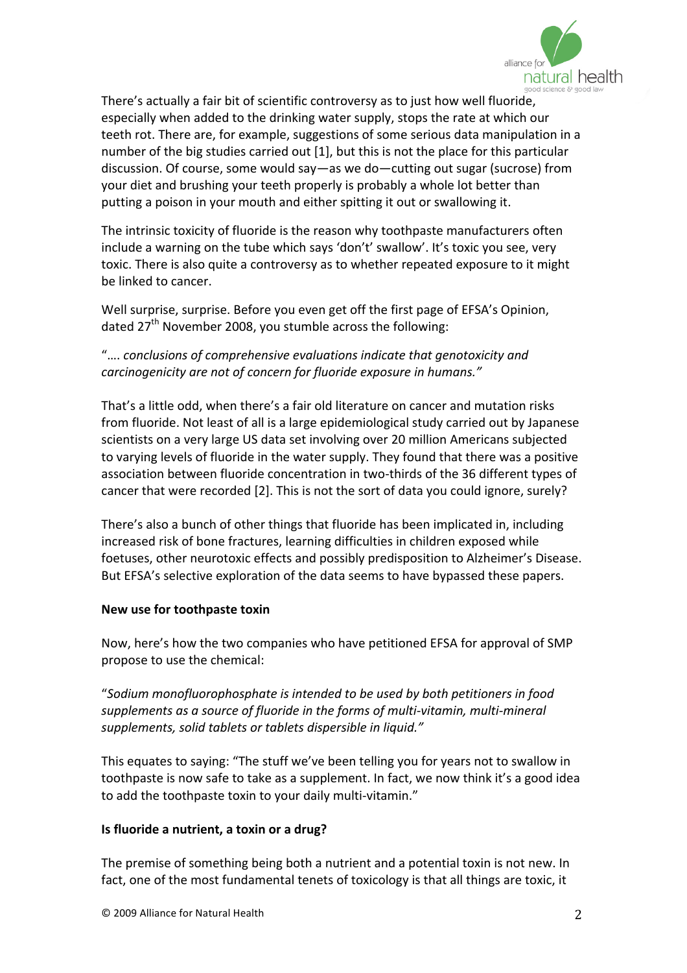

There's actually a fair bit of scientific controversy as to just how well fluoride, especially when added to the drinking water supply, stops the rate at which our teeth rot. There are, for example, suggestions of some serious data manipulation in a number of the big studies carried out [1], but this is not the place for this particular discussion.
Of
course,
some
would
say—as
we
do—cutting
out sugar
(sucrose)
from your diet and brushing your teeth properly is probably a whole lot better than putting a poison in your mouth and either spitting it out or swallowing it.

The
intrinsic
toxicity
of
fluoride
is
the
reason
why
toothpaste
manufacturers
often include a warning on the tube which says 'don't' swallow'. It's toxic you see, very toxic. There is also quite a controversy as to whether repeated exposure to it might be
linked
to
cancer.

Well surprise, surprise. Before you even get off the first page of EFSA's Opinion, dated 27<sup>th</sup> November 2008, you stumble across the following:

## "…. *conclusions
of
comprehensive
evaluations
indicate
that
genotoxicity
and carcinogenicity
are
not
of
concern
for
fluoride
exposure
in
humans."*

That's
a
little
odd,
when
there's
a
fair
old
literature
on
cancer
and
mutation
risks from fluoride. Not least of all is a large epidemiological study carried out by Japanese scientists
on
a
very
large
US
data
set
involving
over
20
million
Americans
subjected to varying levels of fluoride in the water supply. They found that there was a positive association between fluoride concentration in two-thirds of the 36 different types of cancer that were recorded [2]. This is not the sort of data you could ignore, surely?

There's
also
a
bunch
of
other
things
that
fluoride
has
been
implicated
in,
including increased
risk
of
bone
fractures,
learning
difficulties
in
children
exposed
while foetuses,
other
neurotoxic
effects
and
possibly
predisposition
to
Alzheimer's
Disease. But EFSA's selective exploration of the data seems to have bypassed these papers.

### **New
use
for
toothpaste
toxin**

Now, here's how the two companies who have petitioned EFSA for approval of SMP propose
to
use
the
chemical:

"*Sodium
monofluorophosphate
is
intended
to
be
used
by
both
petitioners
in
food*  supplements as a source of fluoride in the forms of multi-vitamin, multi-mineral *supplements,
solid
tablets
or
tablets
dispersible
in
liquid."*

This equates to saying: "The stuff we've been telling you for years not to swallow in toothpaste is now safe to take as a supplement. In fact, we now think it's a good idea to add the toothpaste toxin to your daily multi-vitamin."

### **Is
fluoride
a
nutrient,
a
toxin
or
a
drug?**

The premise of something being both a nutrient and a potential toxin is not new. In fact, one of the most fundamental tenets of toxicology is that all things are toxic, it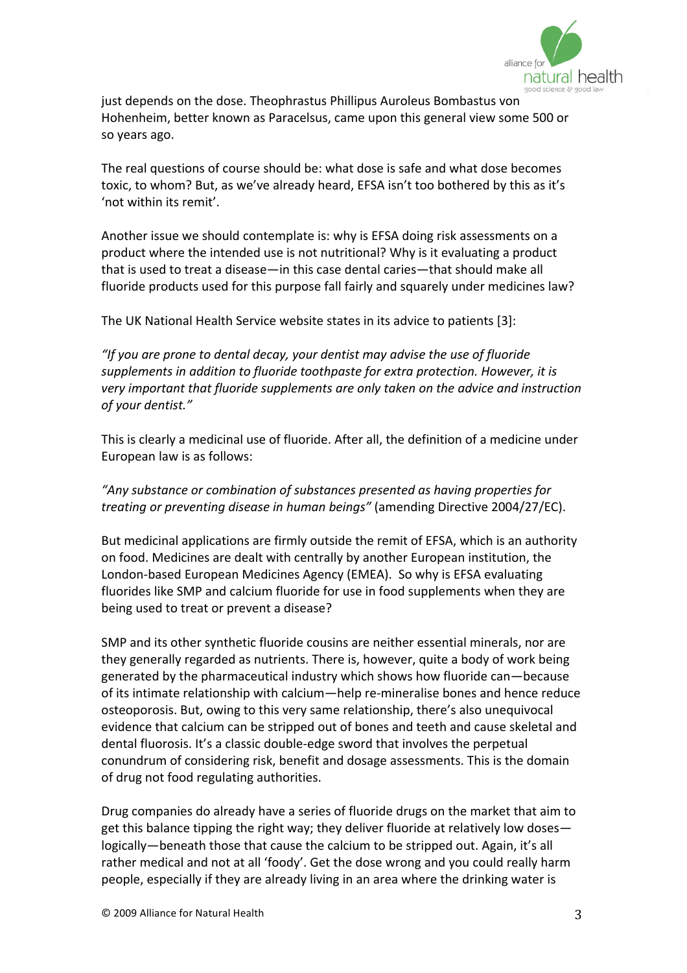

just
depends
on
the
dose.
Theophrastus
Phillipus
Auroleus
Bombastus
von Hohenheim,
better
known
as
Paracelsus,
came
upon
this
general
view
some
500
or so
years
ago.

The
real
questions
of
course
should
be:
what
dose
is
safe
and
what
dose
becomes toxic, to whom? But, as we've already heard, EFSA isn't too bothered by this as it's 'not within its remit'

Another
issue
we
should
contemplate
is:
why
is
EFSA
doing
risk
assessments
on
a product
where
the
intended
use
is
not
nutritional?
Why
is
it
evaluating
a
product that is used to treat a disease—in this case dental caries—that should make all fluoride products used for this purpose fall fairly and squarely under medicines law?

The
UK
National
Health
Service
website
states
in
its
advice
to
patients
[3]:

*"If
you
are
prone
to
dental
decay,
your
dentist
may
advise
the
use
of
fluoride*  supplements in addition to fluoride toothpaste for extra protection. However, it is *very
important
that
fluoride
supplements
are
only
taken
on
the
advice
and
instruction of
your
dentist."*

This is clearly a medicinal use of fluoride. After all, the definition of a medicine under European
law
is
as
follows:

## "Any substance or combination of substances presented as having properties for *treating
or
preventing
disease
in
human
beings"* (amending
Directive
2004/27/EC).

But
medicinal
applications are
firmly
outside
the
remit
of
EFSA,
which
is
an
authority on
food.
Medicines
are
dealt
with
centrally
by
another
European
institution,
the London‐based
European
Medicines
Agency
(EMEA).

So
why
is EFSA
evaluating fluorides like SMP and calcium fluoride for use in food supplements when they are being
used
to
treat
or
prevent
a
disease?

SMP
and
its
other
synthetic
fluoride
cousins
are
neither
essential
minerals,
nor
are they
generally
regarded
as
nutrients.
There
is,
however,
quite
a
body
of
work
being generated
by
the
pharmaceutical
industry
which
shows
how
fluoride
can—because of
its
intimate
relationship
with
calcium—help
re‐mineralise
bones
and
hence
reduce osteoporosis.
But,
owing
to
this
very
same
relationship,
there's
also
unequivocal evidence
that
calcium
can
be
stripped
out
of
bones
and
teeth
and
cause
skeletal
and dental
fluorosis.
It's
a
classic
double‐edge
sword
that
involves
the
perpetual conundrum of considering risk, benefit and dosage assessments. This is the domain of
drug
not
food
regulating
authorities.

Drug
companies
do
already have
a
series
of
fluoride
drugs
on
the
market
that
aim
to get this balance tipping the right way; they deliver fluoride at relatively low doseslogically—beneath those that cause the calcium to be stripped out. Again, it's all rather medical and not at all 'foody'. Get the dose wrong and you could really harm people,
especially
if
they
are
already
living
in
an
area
where
the
drinking
water
is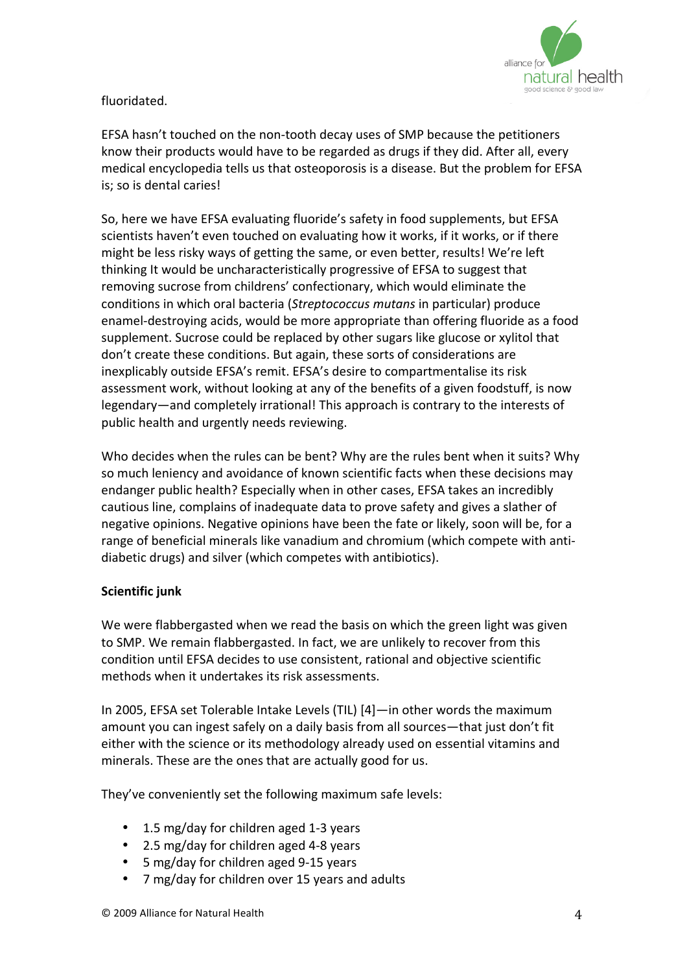

fluoridated.

EFSA
hasn't
touched
on
the
non‐tooth
decay
uses
of
SMP
because
the
petitioners know
their
products
would
have
to
be
regarded
as
drugs
if
they
did.
After
all,
every medical
encyclopedia
tells
us
that
osteoporosis
is
a
disease.
But
the
problem
for
EFSA is;
so
is
dental
caries!

So,
here
we
have
EFSA
evaluating
fluoride's
safety
in
food
supplements,
but
EFSA scientists
haven't
even
touched
on
evaluating
how
it
works,
if
it
works,
or
if
there might
be
less
risky
ways
of
getting
the
same,
or
even
better,
results!
We're
left thinking
It
would
be
uncharacteristically
progressive
of
EFSA
to
suggest
that removing
sucrose
from
childrens'
confectionary,
which
would
eliminate
the conditions
in
which
oral
bacteria
(*Streptococcus
mutans*in
particular)
produce enamel‐destroying
acids,
would
be
more
appropriate
than
offering
fluoride
as
a
food supplement.
Sucrose
could
be
replaced
by
other
sugars
like
glucose
or
xylitol
that don't
create
these
conditions.
But
again,
these
sorts
of
considerations
are inexplicably outside EFSA's remit. EFSA's desire to compartmentalise its risk assessment
work,
without
looking
at
any
of
the
benefits
of
a
given
foodstuff,
is
now legendary—and completely irrational! This approach is contrary to the interests of public
health
and
urgently
needs
reviewing.

Who decides when the rules can be bent? Why are the rules bent when it suits? Why so much leniency and avoidance of known scientific facts when these decisions may endanger
public
health?
Especially
when
in
other
cases,
EFSA
takes
an
incredibly cautious
line,
complains
of
inadequate
data
to
prove
safety
and
gives
a
slather
of negative
opinions.
Negative
opinions
have
been
the
fate
or
likely,
soon
will
be,
for
a range of beneficial minerals like vanadium and chromium (which compete with antidiabetic
drugs)
and
silver
(which
competes
with
antibiotics).

### **Scientific
junk**

We were flabbergasted when we read the basis on which the green light was given to
SMP.
We
remain
flabbergasted.
In
fact,
we
are
unlikely
to
recover
from
this condition
until
EFSA
decides
to
use
consistent,
rational
and
objective
scientific methods
when
it
undertakes
its
risk
assessments.

In 2005, EFSA set Tolerable Intake Levels (TIL) [4]—in other words the maximum amount you can ingest safely on a daily basis from all sources—that just don't fit either with the science or its methodology already used on essential vitamins and minerals. These are the ones that are actually good for us.

They've conveniently set the following maximum safe levels:

- 1.5 mg/day for children aged 1-3 years
- 2.5 mg/day for children aged 4-8 years
- 5 mg/day for children aged 9-15 years
- 7 mg/day for children over 15 years and adults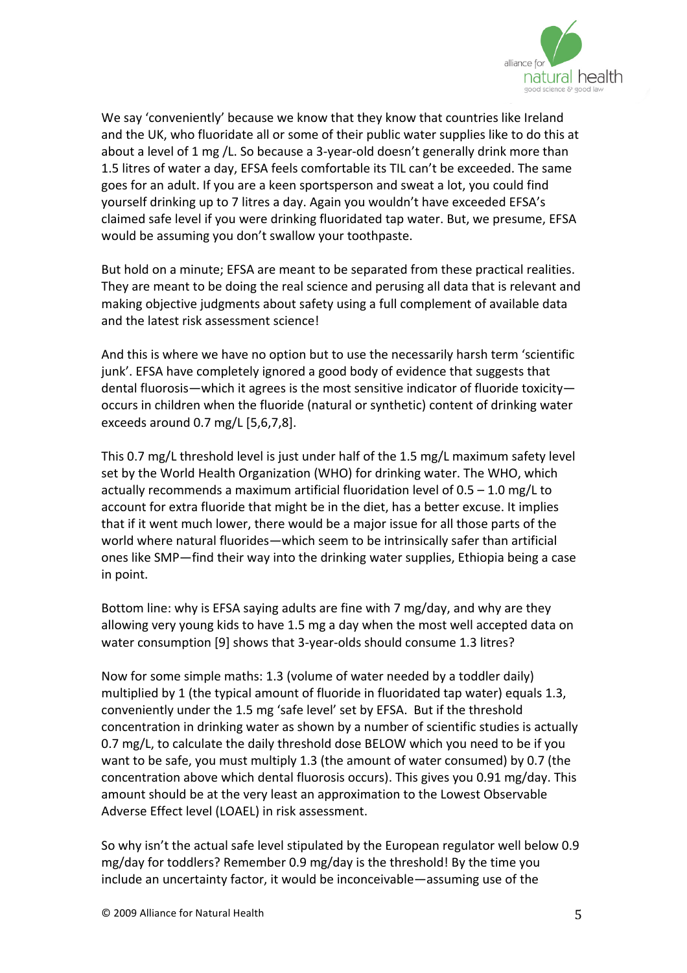

We say 'conveniently' because we know that they know that countries like Ireland and the UK, who fluoridate all or some of their public water supplies like to do this at about a level of 1 mg /L. So because a 3-year-old doesn't generally drink more than 1.5
litres
of
water
a
day,
EFSA
feels
comfortable
its
TIL
can't
be
exceeded.
The
same goes
for
an
adult.
If
you
are
a
keen
sportsperson
and
sweat
a
lot,
you
could
find yourself
drinking
up
to
7
litres
a
day.
Again
you
wouldn't
have
exceeded
EFSA's claimed
safe
level
if
you
were
drinking
fluoridated
tap
water.
But,
we
presume,
EFSA would
be
assuming
you
don't
swallow
your
toothpaste.

But hold on a minute; EFSA are meant to be separated from these practical realities. They are meant to be doing the real science and perusing all data that is relevant and making
objective
judgments
about
safety
using
a
full
complement
of
available
data and
the
latest
risk
assessment
science!

And
this
is
where
we
have
no
option
but
to
use
the
necessarily
harsh
term
'scientific junk'. EFSA have completely ignored a good body of evidence that suggests that dental fluorosis—which it agrees is the most sensitive indicator of fluoride toxicity occurs
in
children
when
the
fluoride
(natural
or
synthetic) content
of
drinking water exceeds
around
0.7
mg/L
[5,6,7,8].

This 0.7 mg/L threshold level is just under half of the 1.5 mg/L maximum safety level set by the World Health Organization (WHO) for drinking water. The WHO, which actually recommends a maximum artificial fluoridation level of  $0.5 - 1.0$  mg/L to account
for
extra
fluoride
that
might
be
in
the
diet,
has
a
better
excuse. It
implies that if it went much lower, there would be a major issue for all those parts of the world where natural fluorides—which seem to be intrinsically safer than artificial ones
like
SMP—find
their
way
into
the
drinking
water
supplies,
Ethiopia
being
a
case in
point.

Bottom line: why is EFSA saying adults are fine with 7 mg/day, and why are they allowing
very
young
kids
to
have
1.5
mg
a
day
when
the
most
well
accepted
data
on water consumption [9] shows that 3-year-olds should consume 1.3 litres?

Now for some simple maths: 1.3 (volume of water needed by a toddler daily) multiplied by 1 (the typical amount of fluoride in fluoridated tap water) equals 1.3, conveniently
under
the
1.5
mg
'safe
level'
set
by
EFSA.

But
if
the
threshold concentration
in
drinking
water
as
shown
by
a
number
of
scientific
studies
is
actually 0.7 mg/L, to calculate the daily threshold dose BELOW which you need to be if you want to be safe, you must multiply 1.3 (the amount of water consumed) by 0.7 (the concentration
above
which
dental
fluorosis
occurs). This
gives
you
0.91
mg/day.
This amount
should
be
at
the
very
least
an
approximation
to
the
Lowest
Observable Adverse
Effect
level
(LOAEL)
in
risk
assessment.

So why isn't the actual safe level stipulated by the European regulator well below 0.9 mg/day
for
toddlers?
Remember
0.9
mg/day
is
the
threshold!
By
the
time
you include an uncertainty factor, it would be inconceivable—assuming use of the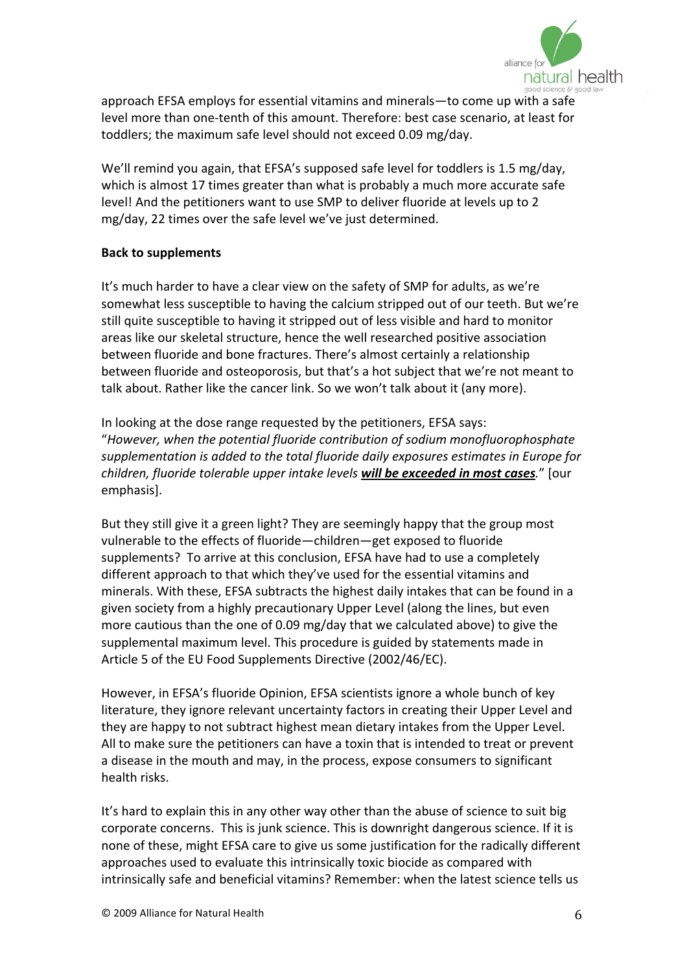

approach
EFSA
employs
for
essential
vitamins
and
minerals—to
come
up
with
a
safe level more than one-tenth of this amount. Therefore: best case scenario, at least for toddlers;
the
maximum
safe
level
should
not
exceed
0.09
mg/day.

We'll remind you again, that EFSA's supposed safe level for toddlers is 1.5 mg/day, which is almost 17 times greater than what is probably a much more accurate safe level! And the petitioners want to use SMP to deliver fluoride at levels up to 2 mg/day,
22
times
over
the
safe
level
we've
just
determined.

#### **Back
to
supplements**

It's much harder to have a clear view on the safety of SMP for adults, as we're somewhat less susceptible to having the calcium stripped out of our teeth. But we're still
quite
susceptible
to
having
it
stripped
out
of
less
visible
and
hard
to
monitor areas
like
our
skeletal
structure,
hence
the
well
researched
positive association between
fluoride
and
bone
fractures.
There's
almost
certainly
a
relationship between
fluoride
and
osteoporosis,
but
that's
a
hot
subject
that
we're
not
meant
to talk about. Rather like the cancer link. So we won't talk about it (any more).

In looking at the dose range requested by the petitioners, EFSA says: "*However,
when
the
potential
fluoride
contribution
of
sodium
monofluorophosphate*  supplementation is added to the total fluoride daily exposures estimates in Europe for children, fluoride tolerable upper intake levels **will be exceeded in most cases**." [our emphasis].

But they still give it a green light? They are seemingly happy that the group most vulnerable to the effects of fluoride-children-get exposed to fluoride supplements? To arrive at this conclusion, EFSA have had to use a completely different approach to that which they've used for the essential vitamins and minerals. With these, EFSA subtracts the highest daily intakes that can be found in a given
society
from
a
highly
precautionary
Upper
Level
(along
the
lines,
but
even more cautious than the one of 0.09 mg/day that we calculated above) to give the supplemental
maximum
level.
This
procedure
is
guided
by
statements
made
in Article
5
of
the
EU
Food
Supplements
Directive
(2002/46/EC).

However,
in
EFSA's
fluoride
Opinion,
EFSA
scientists
ignore
a
whole
bunch
of
key literature, they ignore relevant uncertainty factors in creating their Upper Level and they
are
happy
to
not
subtract
highest
mean
dietary
intakes
from
the
Upper
Level. All
to
make
sure
the
petitioners
can
have
a
toxin
that
is
intended
to
treat
or
prevent a
disease
in
the
mouth
and
may,
in
the
process,
expose
consumers
to
significant health
risks.

It's hard to explain this in any other way other than the abuse of science to suit big corporate concerns. This is junk science. This is downright dangerous science. If it is none
of
these,
might
EFSA
care
to
give
us
some
justification
for
the
radically
different approaches
used
to
evaluate
this
intrinsically
toxic
biocide
as
compared
with intrinsically safe and beneficial vitamins? Remember: when the latest science tells us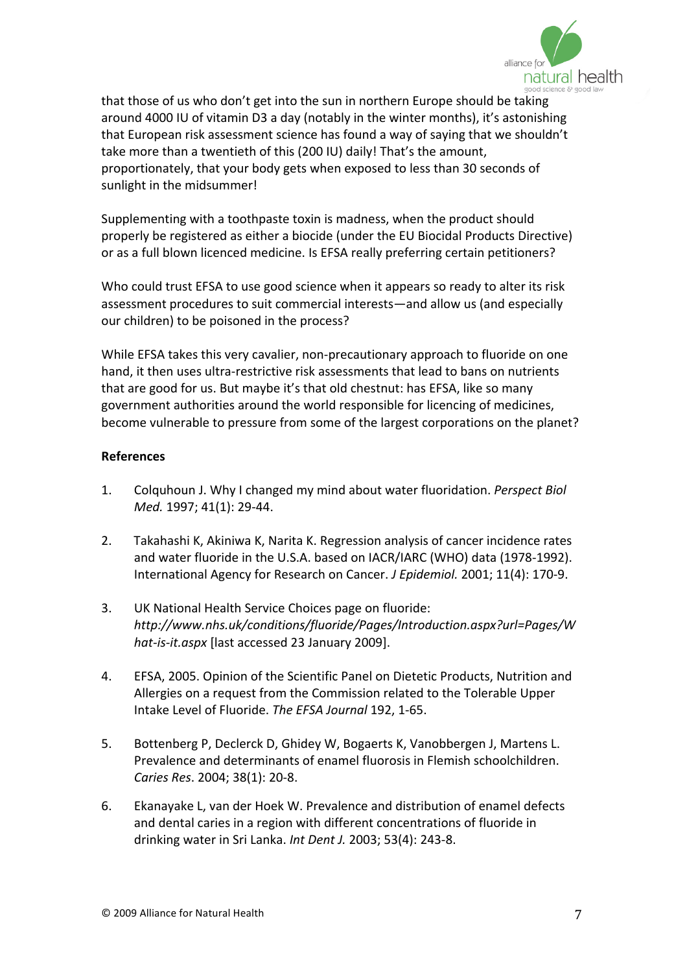

that
those
of
us
who
don't
get
into
the
sun
in
northern
Europe
should
be
taking around
4000
IU
of
vitamin
D3
a
day
(notably
in
the
winter
months),
it's
astonishing that
European
risk
assessment
science
has
found
a way
of
saying
that
we
shouldn't take more than a twentieth of this (200 IU) daily! That's the amount, proportionately,
that
your
body
gets
when
exposed
to
less
than
30
seconds
of sunlight in the midsummer!

Supplementing
with
a
toothpaste
toxin
is
madness,
when
the
product
should properly
be
registered
as
either
a
biocide
(under
the
EU
Biocidal
Products
Directive) or
as
a
full
blown
licenced
medicine.
Is
EFSA
really
preferring
certain
petitioners?

Who could trust EFSA to use good science when it appears so ready to alter its risk assessment
procedures
to
suit
commercial
interests—and
allow
us
(and
especially our
children)
to
be
poisoned
in
the
process?

While EFSA takes this very cavalier, non-precautionary approach to fluoride on one hand, it then uses ultra-restrictive risk assessments that lead to bans on nutrients that are good for us. But maybe it's that old chestnut: has EFSA, like so many government
authorities
around
the
world
responsible
for
licencing
of
medicines, become
vulnerable
to
pressure
from
some
of
the
largest
corporations
on
the
planet?

#### **References**

- 1. Colquhoun
J.
Why
I
changed
my
mind
about
water
fluoridation. *Perspect
Biol Med.*1997;
41(1):
29‐44.
- 2. Takahashi K, Akiniwa K, Narita K. Regression analysis of cancer incidence rates and water fluoride in the U.S.A. based on IACR/IARC (WHO) data (1978-1992). International Agency for Research on Cancer. *J Epidemiol*. 2001; 11(4): 170-9.
- 3. UK
National
Health
Service
Choices
page
on
fluoride: *http://www.nhs.uk/conditions/fluoride/Pages/Introduction.aspx?url=Pages/W* hat-is-it.aspx [last accessed 23 January 2009].
- 4. EFSA,
2005.
Opinion
of
the
Scientific
Panel
on
Dietetic
Products,
Nutrition
and Allergies
on
a
request
from
the
Commission
related
to
the
Tolerable
Upper Intake
Level
of
Fluoride. *The
EFSA
Journal*192,
1‐65.
- 5. Bottenberg
P,
Declerck
D,
Ghidey
W,
Bogaerts
K,
Vanobbergen
J,
Martens
L. Prevalence and determinants of enamel fluorosis in Flemish schoolchildren. *Caries
Res*.
2004;
38(1):
20‐8.
- 6. Ekanayake
L,
van
der
Hoek
W. Prevalence
and
distribution
of
enamel
defects and dental caries in a region with different concentrations of fluoride in drinking
water
in
Sri
Lanka. *Int
Dent
J.*2003;
53(4):
243‐8.